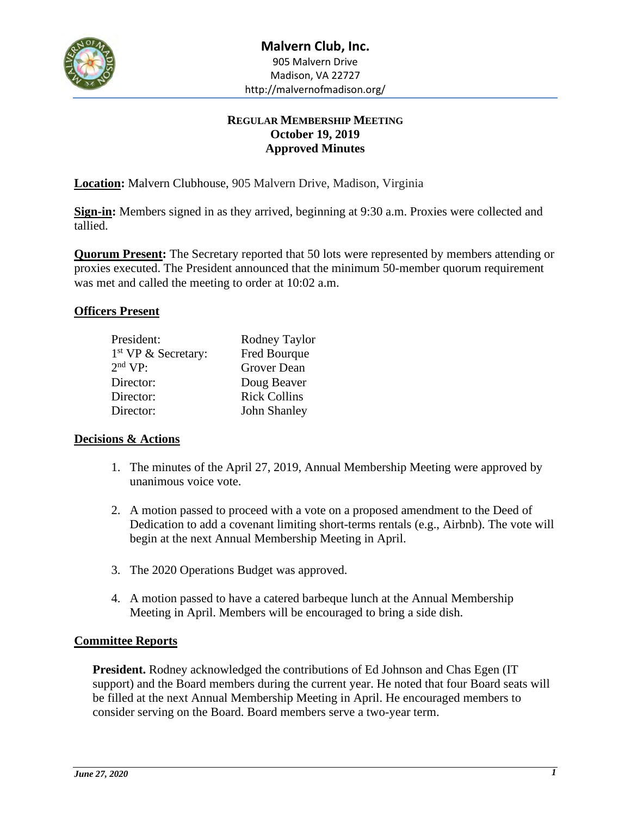

## **REGULAR MEMBERSHIP MEETING October 19, 2019 Approved Minutes**

**Location:** Malvern Clubhouse, 905 Malvern Drive, Madison, Virginia

**Sign-in:** Members signed in as they arrived, beginning at 9:30 a.m. Proxies were collected and tallied.

**Quorum Present:** The Secretary reported that 50 lots were represented by members attending or proxies executed. The President announced that the minimum 50-member quorum requirement was met and called the meeting to order at 10:02 a.m.

### **Officers Present**

| President:                      | Rodney Taylor       |
|---------------------------------|---------------------|
| 1 <sup>st</sup> VP & Secretary: | Fred Bourque        |
| $2nd$ VP:                       | Grover Dean         |
| Director:                       | Doug Beaver         |
| Director:                       | <b>Rick Collins</b> |
| Director:                       | John Shanley        |
|                                 |                     |

### **Decisions & Actions**

- 1. The minutes of the April 27, 2019, Annual Membership Meeting were approved by unanimous voice vote.
- 2. A motion passed to proceed with a vote on a proposed amendment to the Deed of Dedication to add a covenant limiting short-terms rentals (e.g., Airbnb). The vote will begin at the next Annual Membership Meeting in April.
- 3. The 2020 Operations Budget was approved.
- 4. A motion passed to have a catered barbeque lunch at the Annual Membership Meeting in April. Members will be encouraged to bring a side dish.

### **Committee Reports**

**President.** Rodney acknowledged the contributions of Ed Johnson and Chas Egen (IT support) and the Board members during the current year. He noted that four Board seats will be filled at the next Annual Membership Meeting in April. He encouraged members to consider serving on the Board. Board members serve a two-year term.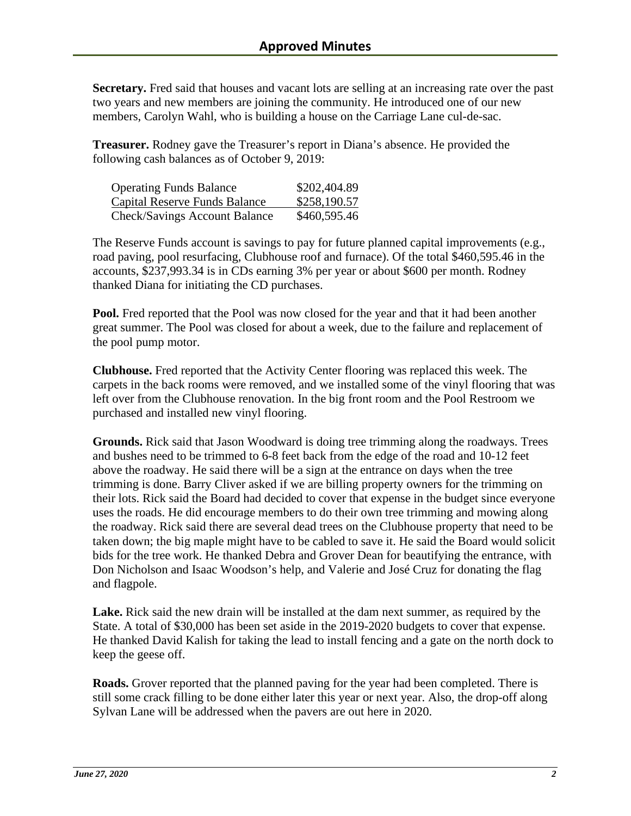**Secretary.** Fred said that houses and vacant lots are selling at an increasing rate over the past two years and new members are joining the community. He introduced one of our new members, Carolyn Wahl, who is building a house on the Carriage Lane cul-de-sac.

**Treasurer.** Rodney gave the Treasurer's report in Diana's absence. He provided the following cash balances as of October 9, 2019:

| <b>Operating Funds Balance</b> | \$202,404.89 |
|--------------------------------|--------------|
| Capital Reserve Funds Balance  | \$258,190.57 |
| Check/Savings Account Balance  | \$460,595.46 |

The Reserve Funds account is savings to pay for future planned capital improvements (e.g., road paving, pool resurfacing, Clubhouse roof and furnace). Of the total \$460,595.46 in the accounts, \$237,993.34 is in CDs earning 3% per year or about \$600 per month. Rodney thanked Diana for initiating the CD purchases.

**Pool.** Fred reported that the Pool was now closed for the year and that it had been another great summer. The Pool was closed for about a week, due to the failure and replacement of the pool pump motor.

**Clubhouse.** Fred reported that the Activity Center flooring was replaced this week. The carpets in the back rooms were removed, and we installed some of the vinyl flooring that was left over from the Clubhouse renovation. In the big front room and the Pool Restroom we purchased and installed new vinyl flooring.

**Grounds.** Rick said that Jason Woodward is doing tree trimming along the roadways. Trees and bushes need to be trimmed to 6-8 feet back from the edge of the road and 10-12 feet above the roadway. He said there will be a sign at the entrance on days when the tree trimming is done. Barry Cliver asked if we are billing property owners for the trimming on their lots. Rick said the Board had decided to cover that expense in the budget since everyone uses the roads. He did encourage members to do their own tree trimming and mowing along the roadway. Rick said there are several dead trees on the Clubhouse property that need to be taken down; the big maple might have to be cabled to save it. He said the Board would solicit bids for the tree work. He thanked Debra and Grover Dean for beautifying the entrance, with Don Nicholson and Isaac Woodson's help, and Valerie and José Cruz for donating the flag and flagpole.

**Lake.** Rick said the new drain will be installed at the dam next summer, as required by the State. A total of \$30,000 has been set aside in the 2019-2020 budgets to cover that expense. He thanked David Kalish for taking the lead to install fencing and a gate on the north dock to keep the geese off.

**Roads.** Grover reported that the planned paving for the year had been completed. There is still some crack filling to be done either later this year or next year. Also, the drop-off along Sylvan Lane will be addressed when the pavers are out here in 2020.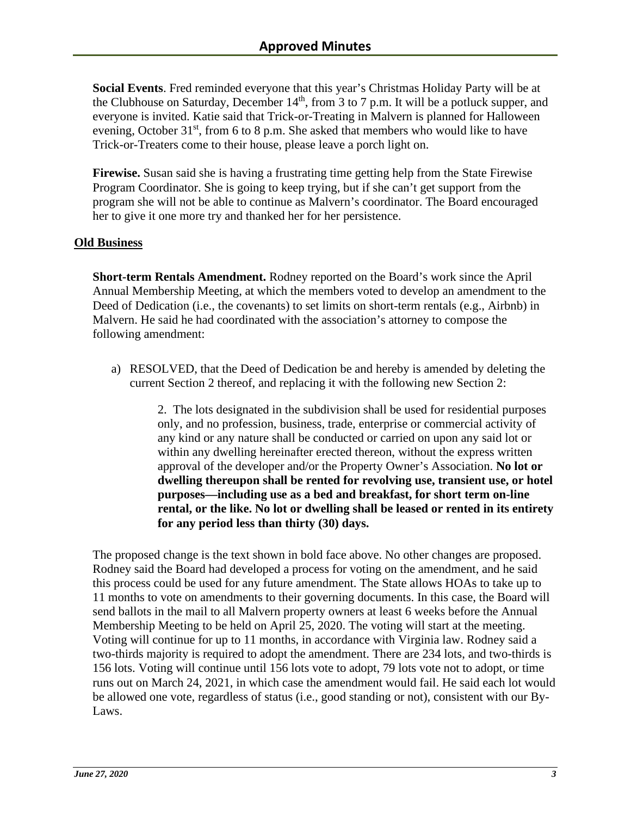**Social Events**. Fred reminded everyone that this year's Christmas Holiday Party will be at the Clubhouse on Saturday, December  $14<sup>th</sup>$ , from 3 to 7 p.m. It will be a potluck supper, and everyone is invited. Katie said that Trick-or-Treating in Malvern is planned for Halloween evening, October  $31<sup>st</sup>$ , from 6 to 8 p.m. She asked that members who would like to have Trick-or-Treaters come to their house, please leave a porch light on.

**Firewise.** Susan said she is having a frustrating time getting help from the State Firewise Program Coordinator. She is going to keep trying, but if she can't get support from the program she will not be able to continue as Malvern's coordinator. The Board encouraged her to give it one more try and thanked her for her persistence.

### **Old Business**

**Short-term Rentals Amendment.** Rodney reported on the Board's work since the April Annual Membership Meeting, at which the members voted to develop an amendment to the Deed of Dedication (i.e., the covenants) to set limits on short-term rentals (e.g., Airbnb) in Malvern. He said he had coordinated with the association's attorney to compose the following amendment:

a) RESOLVED, that the Deed of Dedication be and hereby is amended by deleting the current Section 2 thereof, and replacing it with the following new Section 2:

> 2. The lots designated in the subdivision shall be used for residential purposes only, and no profession, business, trade, enterprise or commercial activity of any kind or any nature shall be conducted or carried on upon any said lot or within any dwelling hereinafter erected thereon, without the express written approval of the developer and/or the Property Owner's Association. **No lot or dwelling thereupon shall be rented for revolving use, transient use, or hotel purposes—including use as a bed and breakfast, for short term on-line rental, or the like. No lot or dwelling shall be leased or rented in its entirety for any period less than thirty (30) days.**

The proposed change is the text shown in bold face above. No other changes are proposed. Rodney said the Board had developed a process for voting on the amendment, and he said this process could be used for any future amendment. The State allows HOAs to take up to 11 months to vote on amendments to their governing documents. In this case, the Board will send ballots in the mail to all Malvern property owners at least 6 weeks before the Annual Membership Meeting to be held on April 25, 2020. The voting will start at the meeting. Voting will continue for up to 11 months, in accordance with Virginia law. Rodney said a two-thirds majority is required to adopt the amendment. There are 234 lots, and two-thirds is 156 lots. Voting will continue until 156 lots vote to adopt, 79 lots vote not to adopt, or time runs out on March 24, 2021, in which case the amendment would fail. He said each lot would be allowed one vote, regardless of status (i.e., good standing or not), consistent with our By-Laws.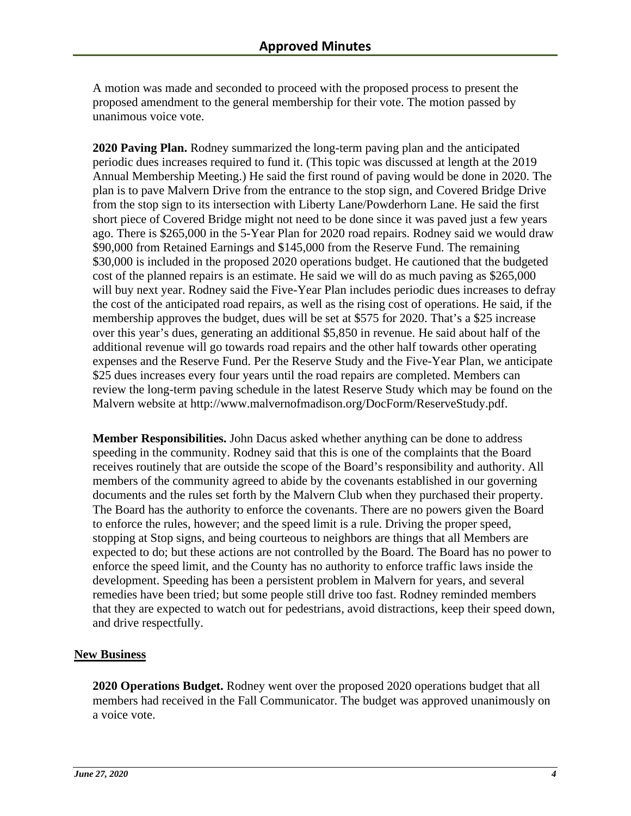A motion was made and seconded to proceed with the proposed process to present the proposed amendment to the general membership for their vote. The motion passed by unanimous voice vote.

**2020 Paving Plan.** Rodney summarized the long-term paving plan and the anticipated periodic dues increases required to fund it. (This topic was discussed at length at the 2019 Annual Membership Meeting.) He said the first round of paving would be done in 2020. The plan is to pave Malvern Drive from the entrance to the stop sign, and Covered Bridge Drive from the stop sign to its intersection with Liberty Lane/Powderhorn Lane. He said the first short piece of Covered Bridge might not need to be done since it was paved just a few years ago. There is \$265,000 in the 5-Year Plan for 2020 road repairs. Rodney said we would draw \$90,000 from Retained Earnings and \$145,000 from the Reserve Fund. The remaining \$30,000 is included in the proposed 2020 operations budget. He cautioned that the budgeted cost of the planned repairs is an estimate. He said we will do as much paving as \$265,000 will buy next year. Rodney said the Five-Year Plan includes periodic dues increases to defray the cost of the anticipated road repairs, as well as the rising cost of operations. He said, if the membership approves the budget, dues will be set at \$575 for 2020. That's a \$25 increase over this year's dues, generating an additional \$5,850 in revenue. He said about half of the additional revenue will go towards road repairs and the other half towards other operating expenses and the Reserve Fund. Per the Reserve Study and the Five-Year Plan, we anticipate \$25 dues increases every four years until the road repairs are completed. Members can review the long-term paving schedule in the latest Reserve Study which may be found on the Malvern website at http://www.malvernofmadison.org/DocForm/ReserveStudy.pdf.

**Member Responsibilities.** John Dacus asked whether anything can be done to address speeding in the community. Rodney said that this is one of the complaints that the Board receives routinely that are outside the scope of the Board's responsibility and authority. All members of the community agreed to abide by the covenants established in our governing documents and the rules set forth by the Malvern Club when they purchased their property. The Board has the authority to enforce the covenants. There are no powers given the Board to enforce the rules, however; and the speed limit is a rule. Driving the proper speed, stopping at Stop signs, and being courteous to neighbors are things that all Members are expected to do; but these actions are not controlled by the Board. The Board has no power to enforce the speed limit, and the County has no authority to enforce traffic laws inside the development. Speeding has been a persistent problem in Malvern for years, and several remedies have been tried; but some people still drive too fast. Rodney reminded members that they are expected to watch out for pedestrians, avoid distractions, keep their speed down, and drive respectfully.

### **New Business**

**2020 Operations Budget.** Rodney went over the proposed 2020 operations budget that all members had received in the Fall Communicator. The budget was approved unanimously on a voice vote.